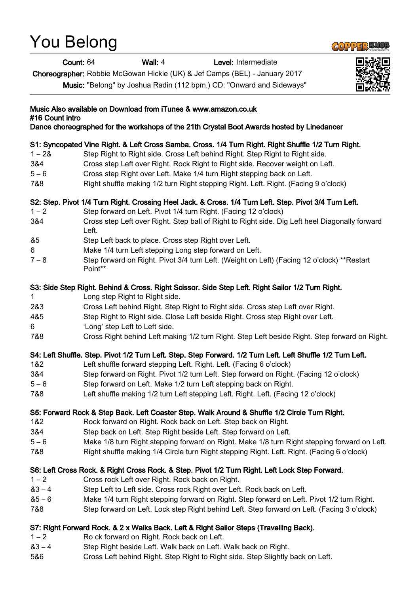# You Belong



Count: 64 Wall: 4 Level: Intermediate

Choreographer: Robbie McGowan Hickie (UK) & Jef Camps (BEL) - January 2017

Music: "Belong" by Joshua Radin (112 bpm.) CD: "Onward and Sideways"



## Music Also available on Download from iTunes & www.amazon.co.uk #16 Count intro Dance choreographed for the workshops of the 21th Crystal Boot Awards hosted by Linedancer S1: Syncopated Vine Right. & Left Cross Samba. Cross. 1/4 Turn Right. Right Shuffle 1/2 Turn Right. 1 – 2& Step Right to Right side. Cross Left behind Right. Step Right to Right side. 3&4 Cross step Left over Right. Rock Right to Right side. Recover weight on Left. 5 – 6 Cross step Right over Left. Make 1/4 turn Right stepping back on Left. 7&8 Right shuffle making 1/2 turn Right stepping Right. Left. Right. (Facing 9 o'clock) S2: Step. Pivot 1/4 Turn Right. Crossing Heel Jack. & Cross. 1/4 Turn Left. Step. Pivot 3/4 Turn Left. 1 – 2 Step forward on Left. Pivot 1/4 turn Right. (Facing 12 o'clock) 3&4 Cross step Left over Right. Step ball of Right to Right side. Dig Left heel Diagonally forward Left. &5 Step Left back to place. Cross step Right over Left. 6 Make 1/4 turn Left stepping Long step forward on Left. 7 – 8 Step forward on Right. Pivot 3/4 turn Left. (Weight on Left) (Facing 12 o'clock) \*\*Restart Point\*\* S3: Side Step Right. Behind & Cross. Right Scissor. Side Step Left. Right Sailor 1/2 Turn Right. 1 **Long step Right to Right side.** 2&3 Cross Left behind Right. Step Right to Right side. Cross step Left over Right. 4&5 Step Right to Right side. Close Left beside Right. Cross step Right over Left. 6 'Long' step Left to Left side. 7&8 Cross Right behind Left making 1/2 turn Right. Step Left beside Right. Step forward on Right. S4: Left Shuffle. Step. Pivot 1/2 Turn Left. Step. Step Forward. 1/2 Turn Left. Left Shuffle 1/2 Turn Left. 1&2 Left shuffle forward stepping Left. Right. Left. (Facing 6 o'clock) 3&4 Step forward on Right. Pivot 1/2 turn Left. Step forward on Right. (Facing 12 o'clock) 5 – 6 Step forward on Left. Make 1/2 turn Left stepping back on Right. 7&8 Left shuffle making 1/2 turn Left stepping Left. Right. Left. (Facing 12 o'clock) S5: Forward Rock & Step Back. Left Coaster Step. Walk Around & Shuffle 1/2 Circle Turn Right. 1&2 Rock forward on Right. Rock back on Left. Step back on Right. 3&4 Step back on Left. Step Right beside Left. Step forward on Left. 5 – 6 Make 1/8 turn Right stepping forward on Right. Make 1/8 turn Right stepping forward on Left. 7&8 Right shuffle making 1/4 Circle turn Right stepping Right. Left. Right. (Facing 6 o'clock) S6: Left Cross Rock. & Right Cross Rock. & Step. Pivot 1/2 Turn Right. Left Lock Step Forward. 1 – 2 Cross rock Left over Right. Rock back on Right. &3 – 4 Step Left to Left side. Cross rock Right over Left. Rock back on Left. &5 – 6 Make 1/4 turn Right stepping forward on Right. Step forward on Left. Pivot 1/2 turn Right. 7&8 Step forward on Left. Lock step Right behind Left. Step forward on Left. (Facing 3 o'clock) S7: Right Forward Rock. & 2 x Walks Back. Left & Right Sailor Steps (Travelling Back). 1 – 2 Ro ck forward on Right. Rock back on Left. &3 – 4 Step Right beside Left. Walk back on Left. Walk back on Right. 5&6 Cross Left behind Right. Step Right to Right side. Step Slightly back on Left.